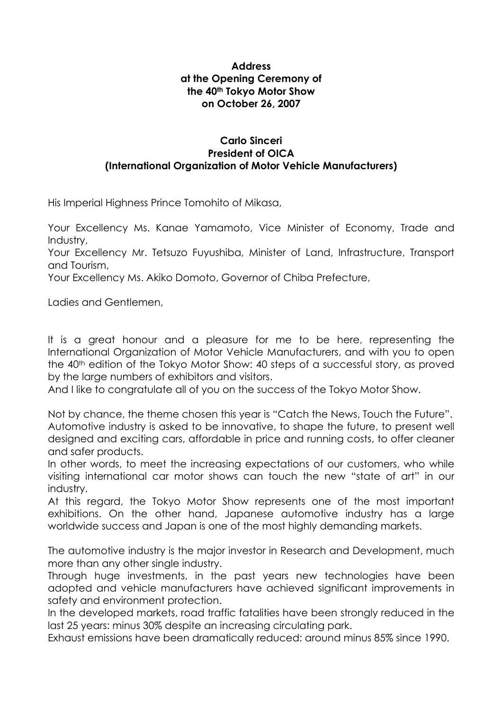## **Address at the Opening Ceremony of the 40th Tokyo Motor Show on October 26, 2007**

## **Carlo Sinceri President of OICA (International Organization of Motor Vehicle Manufacturers)**

His Imperial Highness Prince Tomohito of Mikasa,

Your Excellency Ms. Kanae Yamamoto, Vice Minister of Economy, Trade and Industry,

Your Excellency Mr. Tetsuzo Fuyushiba, Minister of Land, Infrastructure, Transport and Tourism,

Your Excellency Ms. Akiko Domoto, Governor of Chiba Prefecture,

Ladies and Gentlemen,

It is a great honour and a pleasure for me to be here, representing the International Organization of Motor Vehicle Manufacturers, and with you to open the 40<sup>th</sup> edition of the Tokyo Motor Show: 40 steps of a successful story, as proved by the large numbers of exhibitors and visitors.

And I like to congratulate all of you on the success of the Tokyo Motor Show.

Not by chance, the theme chosen this year is "Catch the News, Touch the Future". Automotive industry is asked to be innovative, to shape the future, to present well designed and exciting cars, affordable in price and running costs, to offer cleaner and safer products.

In other words, to meet the increasing expectations of our customers, who while visiting international car motor shows can touch the new "state of art" in our industry.

At this regard, the Tokyo Motor Show represents one of the most important exhibitions. On the other hand, Japanese automotive industry has a large worldwide success and Japan is one of the most highly demanding markets.

The automotive industry is the major investor in Research and Development, much more than any other single industry.

Through huge investments, in the past years new technologies have been adopted and vehicle manufacturers have achieved significant improvements in safety and environment protection.

In the developed markets, road traffic fatalities have been strongly reduced in the last 25 years: minus 30% despite an increasing circulating park.

Exhaust emissions have been dramatically reduced: around minus 85% since 1990.